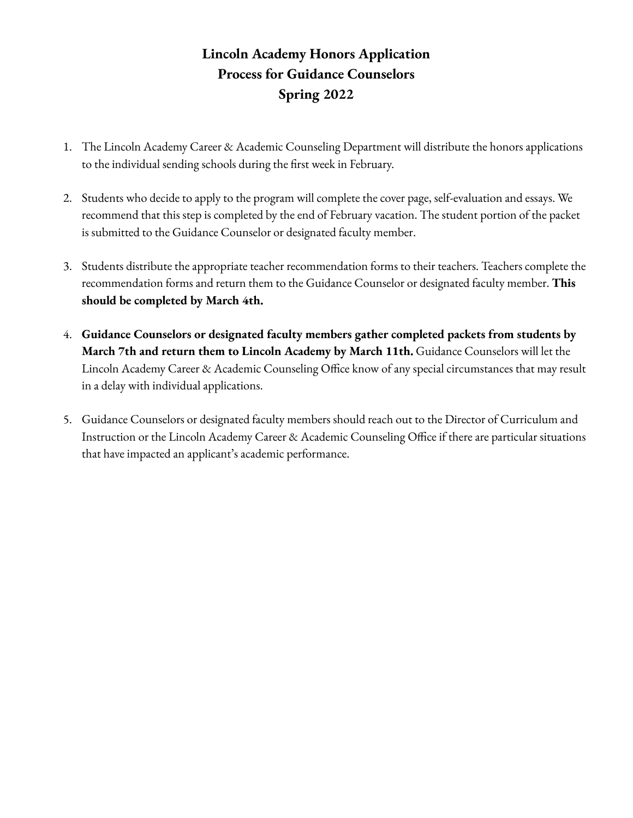# **Lincoln Academy Honors Application Process for Guidance Counselors Spring 2022**

- 1. The Lincoln Academy Career & Academic Counseling Department will distribute the honors applications to the individual sending schools during the first week in February.
- 2. Students who decide to apply to the program will complete the cover page, self-evaluation and essays. We recommend that this step is completed by the end of February vacation. The student portion of the packet is submitted to the Guidance Counselor or designated faculty member.
- 3. Students distribute the appropriate teacher recommendation forms to their teachers. Teachers complete the recommendation forms and return them to the Guidance Counselor or designated faculty member. **This should be completed by March 4th.**
- 4. **Guidance Counselors or designated faculty members gather completed packets from students by March 7th and return them to Lincoln Academy by March 11th.** Guidance Counselors will let the Lincoln Academy Career & Academic Counseling Office know of any special circumstances that may result in a delay with individual applications.
- 5. Guidance Counselors or designated faculty members should reach out to the Director of Curriculum and Instruction or the Lincoln Academy Career & Academic Counseling Office if there are particular situations that have impacted an applicant's academic performance.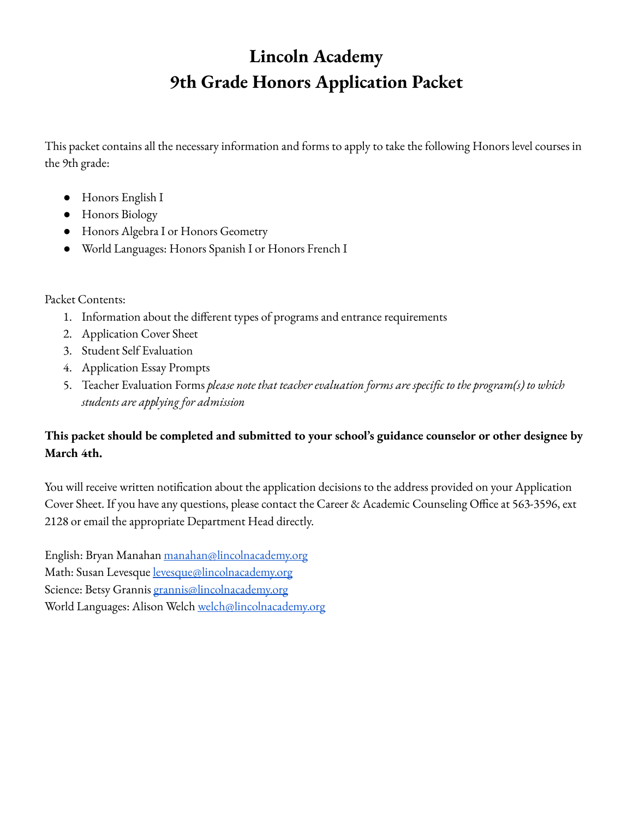# **Lincoln Academy 9th Grade Honors Application Packet**

This packet contains all the necessary information and forms to apply to take the following Honors level courses in the 9th grade:

- Honors English I
- Honors Biology
- Honors Algebra I or Honors Geometry
- World Languages: Honors Spanish I or Honors French I

#### Packet Contents:

- 1. Information about the different types of programs and entrance requirements
- 2. Application Cover Sheet
- 3. Student Self Evaluation
- 4. Application Essay Prompts
- 5. Teacher Evaluation Forms *please note that teacher evaluation forms are specific to the program(s) to which students are applying for admission*

### **This packet should be completed and submitted to your school's guidance counselor or other designee by March 4th.**

You will receive written notification about the application decisions to the address provided on your Application Cover Sheet. If you have any questions, please contact the Career & Academic Counseling Office at 563-3596, ext 2128 or email the appropriate Department Head directly.

English: Bryan Manahan [manahan@lincolnacademy.org](mailto:manahan@lincolnacademy.org) Math: Susan Levesque [levesque@lincolnacademy.org](mailto:levesque@lincolnacademy.org) Science: Betsy Grannis [grannis@lincolnacademy.org](mailto:grannis@lincolnacademy.org) World Languages: Alison Welch [welch@lincolnacademy.org](mailto:welch@lincolnacademy.org)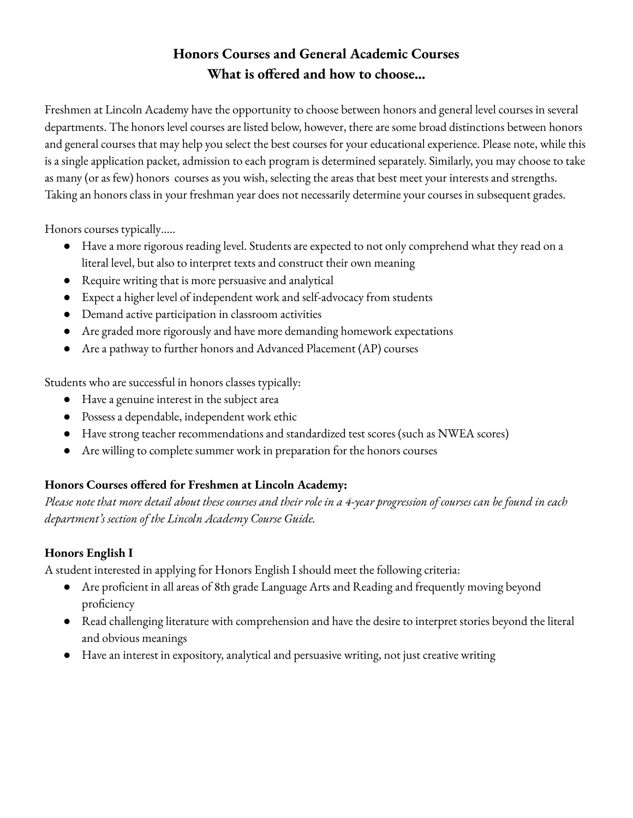# **Honors Courses and General Academic Courses What** is offered and how to choose...

Freshmen at Lincoln Academy have the opportunity to choose between honors and general level courses in several departments. The honors level courses are listed below, however, there are some broad distinctions between honors and general courses that may help you select the best courses for your educational experience. Please note, while this is a single application packet, admission to each program is determined separately. Similarly, you may choose to take as many (or as few) honors courses as you wish, selecting the areas that best meet your interests and strengths. Taking an honors class in your freshman year does not necessarily determine your courses in subsequent grades.

Honors courses typically…..

- Have a more rigorous reading level. Students are expected to not only comprehend what they read on a literal level, but also to interpret texts and construct their own meaning
- Require writing that is more persuasive and analytical
- Expect a higher level of independent work and self-advocacy from students
- Demand active participation in classroom activities
- Are graded more rigorously and have more demanding homework expectations
- Are a pathway to further honors and Advanced Placement (AP) courses

Students who are successful in honors classes typically:

- Have a genuine interest in the subject area
- Possess a dependable, independent work ethic
- Have strong teacher recommendations and standardized test scores (such as NWEA scores)
- Are willing to complete summer work in preparation for the honors courses

#### **Honors Courses offered for Freshmen at Lincoln Academy:**

Please note that more detail about these courses and their role in a 4-year progression of courses can be found in each *department's section of the Lincoln Academy Course Guide.*

#### **Honors English I**

A student interested in applying for Honors English I should meet the following criteria:

- Are proficient in all areas of 8th grade Language Arts and Reading and frequently moving beyond proficiency
- Read challenging literature with comprehension and have the desire to interpret stories beyond the literal and obvious meanings
- Have an interest in expository, analytical and persuasive writing, not just creative writing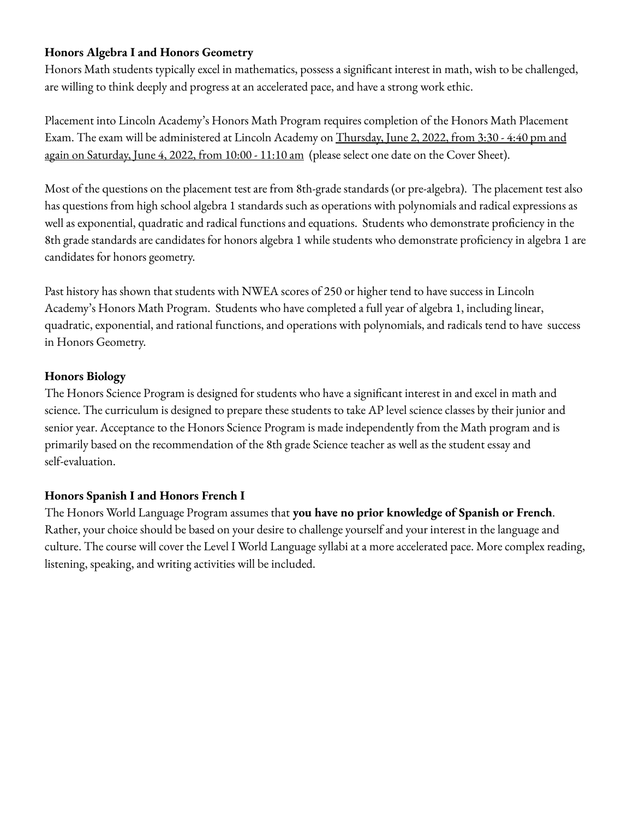### **Honors Algebra I and Honors Geometry**

Honors Math students typically excel in mathematics, possess a significant interest in math, wish to be challenged, are willing to think deeply and progress at an accelerated pace, and have a strong work ethic.

Placement into Lincoln Academy's Honors Math Program requires completion of the Honors Math Placement Exam. The exam will be administered at Lincoln Academy on Thursday, June 2, 2022, from 3:30 - 4:40 pm and again on Saturday, June 4, 2022, from 10:00 - 11:10 am (please select one date on the Cover Sheet).

Most of the questions on the placement test are from 8th-grade standards (or pre-algebra). The placement test also has questions from high school algebra 1 standards such as operations with polynomials and radical expressions as well as exponential, quadratic and radical functions and equations. Students who demonstrate proficiency in the 8th grade standards are candidates for honors algebra 1 while students who demonstrate proficiency in algebra 1 are candidates for honors geometry.

Past history has shown that students with NWEA scores of 250 or higher tend to have success in Lincoln Academy's Honors Math Program. Students who have completed a full year of algebra 1, including linear, quadratic, exponential, and rational functions, and operations with polynomials, and radicals tend to have success in Honors Geometry.

### **Honors Biology**

The Honors Science Program is designed for students who have a significant interest in and excel in math and science. The curriculum is designed to prepare these students to take AP level science classes by their junior and senior year. Acceptance to the Honors Science Program is made independently from the Math program and is primarily based on the recommendation of the 8th grade Science teacher as well as the student essay and self-evaluation.

### **Honors Spanish I and Honors French I**

The Honors World Language Program assumes that **you have no prior knowledge of Spanish or French**. Rather, your choice should be based on your desire to challenge yourself and your interest in the language and culture. The course will cover the Level I World Language syllabi at a more accelerated pace. More complex reading, listening, speaking, and writing activities will be included.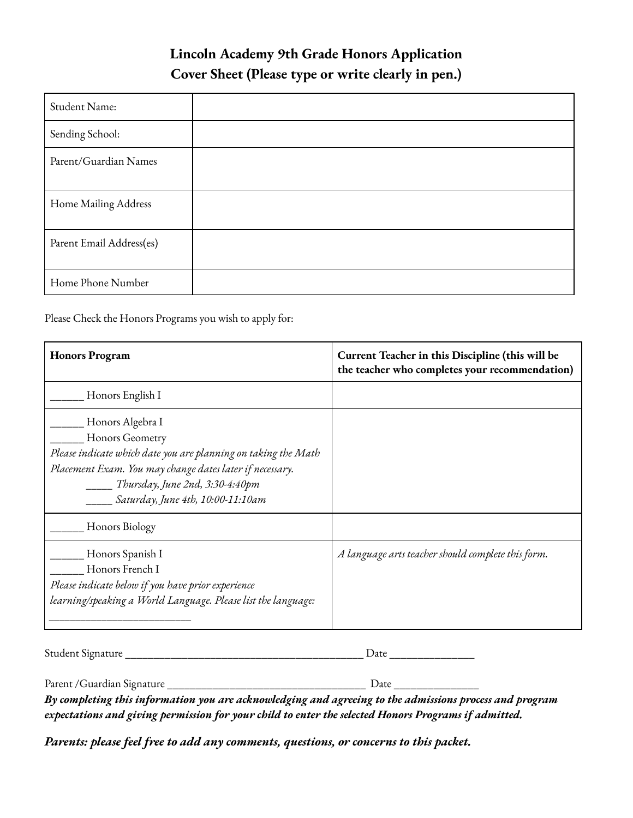# **Lincoln Academy 9th Grade Honors Application Cover Sheet (Please type or write clearly in pen.)**

| Student Name:            |  |
|--------------------------|--|
| Sending School:          |  |
| Parent/Guardian Names    |  |
| Home Mailing Address     |  |
| Parent Email Address(es) |  |
| Home Phone Number        |  |

Please Check the Honors Programs you wish to apply for:

| <b>Honors Program</b>                                                                                                                                                                                                                           | Current Teacher in this Discipline (this will be<br>the teacher who completes your recommendation) |
|-------------------------------------------------------------------------------------------------------------------------------------------------------------------------------------------------------------------------------------------------|----------------------------------------------------------------------------------------------------|
| Honors English I                                                                                                                                                                                                                                |                                                                                                    |
| Honors Algebra I<br>Honors Geometry<br>Please indicate which date you are planning on taking the Math<br>Placement Exam. You may change dates later if necessary.<br>_____ Thursday, June 2nd, 3:30-4:40pm<br>Saturday, June 4th, 10:00-11:10am |                                                                                                    |
| Honors Biology                                                                                                                                                                                                                                  |                                                                                                    |
| Honors Spanish I<br>Honors French I<br>Please indicate below if you have prior experience<br>learning/speaking a World Language. Please list the language:                                                                                      | A language arts teacher should complete this form.                                                 |

Student Signature \_\_\_\_\_\_\_\_\_\_\_\_\_\_\_\_\_\_\_\_\_\_\_\_\_\_\_\_\_\_\_\_\_\_\_\_\_\_\_\_\_\_ Date \_\_\_\_\_\_\_\_\_\_\_\_\_\_\_

Parent /Guardian Signature \_\_\_\_\_\_\_\_\_\_\_\_\_\_\_\_\_\_\_\_\_\_\_\_\_\_\_\_\_\_\_\_\_\_\_ Date \_\_\_\_\_\_\_\_\_\_\_\_\_\_\_

*By completing this information you are acknowledging and agreeing to the admissions process and program expectations and giving permission for your child to enter the selected Honors Programs if admitted.*

*Parents: please feel free to add any comments, questions, or concerns to this packet.*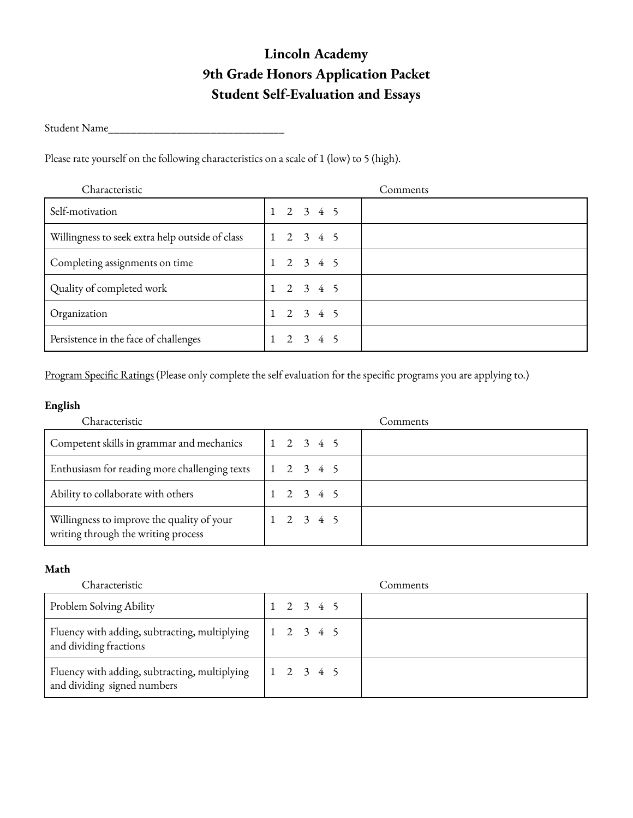# **Lincoln Academy 9th Grade Honors Application Packet Student Self-Evaluation and Essays**

Student Name\_\_\_\_\_\_\_\_\_\_\_\_\_\_\_\_\_\_\_\_\_\_\_\_\_\_\_\_\_\_\_

Please rate yourself on the following characteristics on a scale of 1 (low) to 5 (high).

| Characteristic                                  | Comments            |
|-------------------------------------------------|---------------------|
| Self-motivation                                 | $1 \t2 \t3 \t4 \t5$ |
| Willingness to seek extra help outside of class | $1 \t2 \t3 \t4 \t5$ |
| Completing assignments on time                  | $1 \t2 \t3 \t4 \t5$ |
| Quality of completed work                       | $1 \t2 \t3 \t4 \t5$ |
| Organization                                    | $1 \t2 \t3 \t4 \t5$ |
| Persistence in the face of challenges           | 2345                |

Program Specific Ratings (Please only complete the self evaluation for the specific programs you are applying to.)

#### **English**

| Characteristic                                                                    | Comments            |
|-----------------------------------------------------------------------------------|---------------------|
| Competent skills in grammar and mechanics                                         | $1 \t2 \t3 \t4 \t5$ |
| Enthusiasm for reading more challenging texts                                     | $1 \t2 \t3 \t4 \t5$ |
| Ability to collaborate with others                                                | $1 \t2 \t3 \t4 \t5$ |
| Willingness to improve the quality of your<br>writing through the writing process | $1 \t2 \t3 \t4 \t5$ |

#### **Math**

| Characteristic                                                               | Comments            |
|------------------------------------------------------------------------------|---------------------|
| Problem Solving Ability                                                      | $1 \t2 \t3 \t4 \t5$ |
| Fluency with adding, subtracting, multiplying<br>and dividing fractions      | $1 \t2 \t3 \t4 \t5$ |
| Fluency with adding, subtracting, multiplying<br>and dividing signed numbers | $1 \t2 \t3 \t4 \t5$ |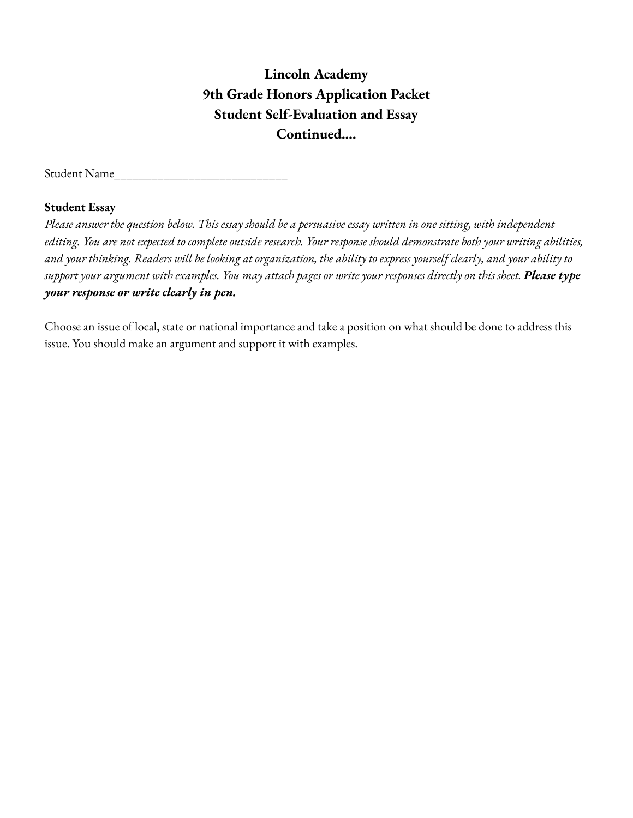# **Lincoln Academy 9th Grade Honors Application Packet Student Self-Evaluation and Essay Continued….**

Student Name

#### **Student Essay**

Please answer the question below. This essay should be a persuasive essay written in one sitting, with independent editing. You are not expected to complete outside research. Your response should demonstrate both your writing abilities, and your thinking. Readers will be looking at organization, the ability to express yourself clearly, and your ability to support your argument with examples. You may attach pages or write your responses directly on this sheet. Please type *your response or write clearly in pen.*

Choose an issue of local, state or national importance and take a position on what should be done to address this issue. You should make an argument and support it with examples.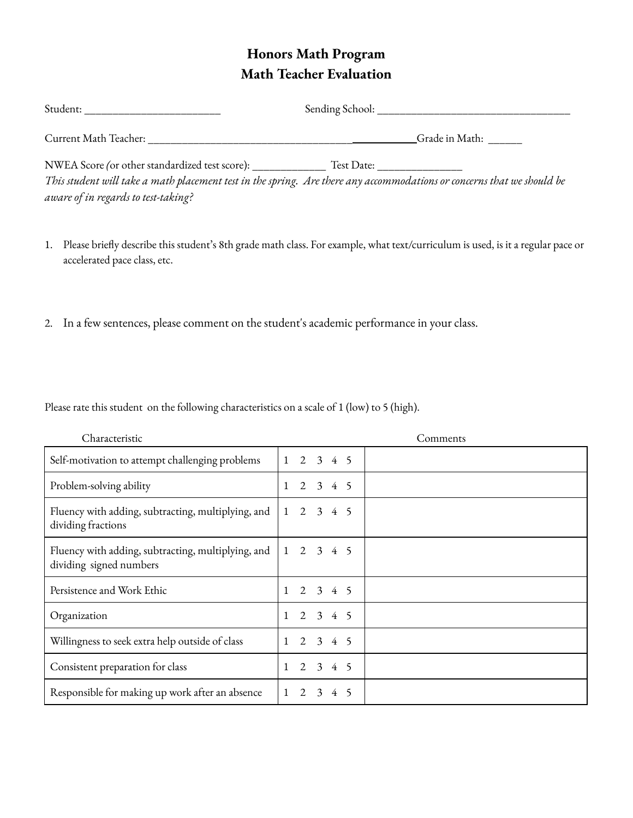# **Honors Math Program Math Teacher Evaluation**

| Student:                                                                                                               | Sending School: |                |
|------------------------------------------------------------------------------------------------------------------------|-----------------|----------------|
| Current Math Teacher:                                                                                                  |                 | Grade in Math: |
| NWEA Score (or other standardized test score):                                                                         | Test Date:      |                |
| This student will take a math placement test in the spring. Are there any accommodations or concerns that we should be |                 |                |

*aware of in regards to test-taking?*

- 1. Please briefly describe this student's 8th grade math class. For example, what text/curriculum is used, is it a regular pace or accelerated pace class, etc.
- 2. In a few sentences, please comment on the student's academic performance in your class.

Please rate this student on the following characteristics on a scale of 1 (low) to 5 (high).

| Characteristic                                                                | Comments                                          |
|-------------------------------------------------------------------------------|---------------------------------------------------|
| Self-motivation to attempt challenging problems                               | $1 \t2 \t3 \t4 \t5$                               |
| Problem-solving ability                                                       | $2 \t3 \t4 \t5$<br>$\mathbf{1}$                   |
| Fluency with adding, subtracting, multiplying, and<br>dividing fractions      | 2 3 4 5<br>$\mathbf{1}$                           |
| Fluency with adding, subtracting, multiplying, and<br>dividing signed numbers | $2 \t3 \t4 \t5$<br>$\mathbf{1}$                   |
| Persistence and Work Ethic                                                    | 2 3 4 5                                           |
| Organization                                                                  | $2 \t3 \t4 \t5$                                   |
| Willingness to seek extra help outside of class                               | $2 \t3 \t4 \t5$                                   |
| Consistent preparation for class                                              | 3 4 5<br>2                                        |
| Responsible for making up work after an absence                               | $\mathcal{D}_{\mathcal{L}}$<br>$\mathcal{E}$<br>4 |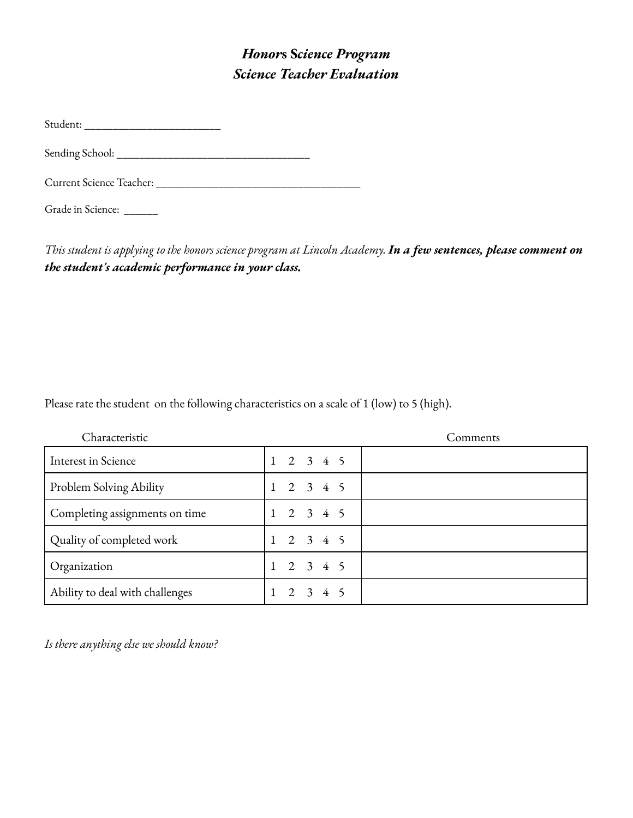# *Honor***s S***cience Program Science Teacher Evaluation*

Student: \_\_\_\_\_\_\_\_\_\_\_\_\_\_\_\_\_\_\_\_\_\_\_\_

Sending School: \_\_\_\_\_\_\_\_\_\_\_\_\_\_\_\_\_\_\_\_\_\_\_\_\_\_\_\_\_\_\_\_\_\_

Current Science Teacher: \_\_\_\_\_\_\_\_\_\_\_\_\_\_\_\_\_\_\_\_\_\_\_\_\_\_\_\_\_\_\_\_\_\_\_\_

Grade in Science: \_\_\_\_\_\_

This student is applying to the honors science program at Lincoln Academy. In a few sentences, please comment on *the student's academic performance in your class.*

Please rate the student on the following characteristics on a scale of 1 (low) to 5 (high).

| Characteristic                  |                     | Comments |
|---------------------------------|---------------------|----------|
| <b>Interest in Science</b>      | $1 \t2 \t3 \t4 \t5$ |          |
| Problem Solving Ability         | 2<br>3 4 5          |          |
| Completing assignments on time  | $2 \t3 \t4 \t5$     |          |
| Quality of completed work       | $1 \t2 \t3 \t4 \t5$ |          |
| Organization                    | $2 \t3 \t4 \t5$     |          |
| Ability to deal with challenges | $2 \t3 \t4 \t5$     |          |

*Is there anything else we should know?*